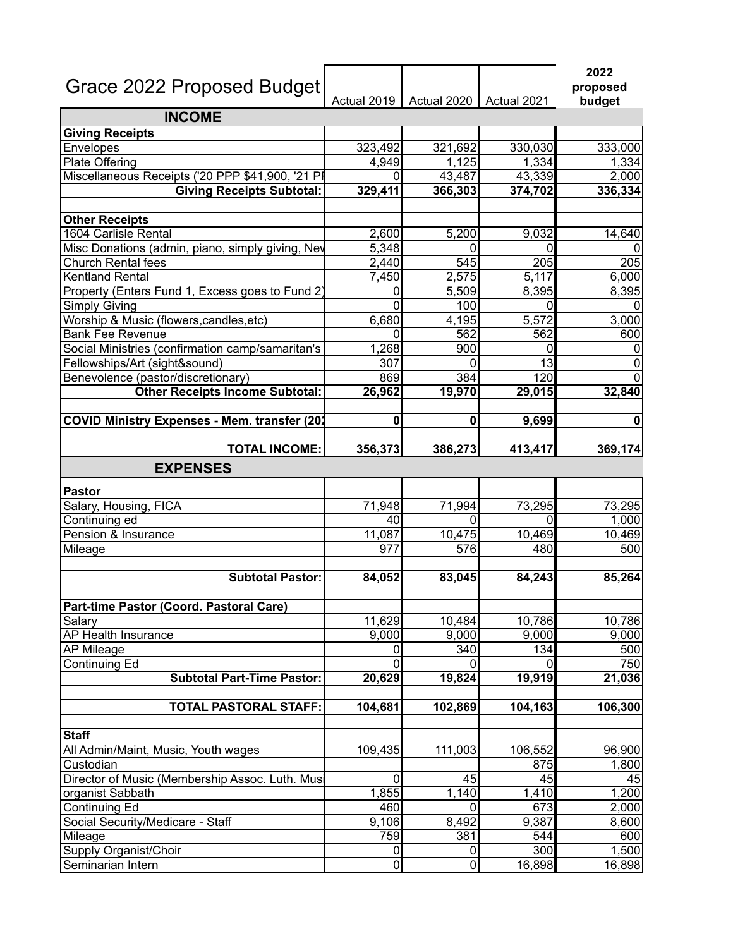| Grace 2022 Proposed Budget                          |                | Actual 2019   Actual 2020   Actual 2021 |         | 2022<br>proposed<br>budget |
|-----------------------------------------------------|----------------|-----------------------------------------|---------|----------------------------|
| <b>INCOME</b>                                       |                |                                         |         |                            |
| <b>Giving Receipts</b>                              |                |                                         |         |                            |
| Envelopes                                           | 323,492        | 321,692                                 | 330,030 | 333,000                    |
| Plate Offering                                      | 4,949          | 1,125                                   | 1,334   | 1,334                      |
| Miscellaneous Receipts ('20 PPP \$41,900, '21 PI    |                | 43,487                                  | 43,339  | 2,000                      |
| <b>Giving Receipts Subtotal:</b>                    | 329,411        | 366,303                                 | 374,702 | 336,334                    |
| <b>Other Receipts</b>                               |                |                                         |         |                            |
| 1604 Carlisle Rental                                | 2,600          | 5,200                                   | 9,032   | 14,640                     |
| Misc Donations (admin, piano, simply giving, Nev    | 5,348          | 0                                       | 0       |                            |
| Church Rental fees                                  | 2,440          | 545                                     | 205     | 205                        |
| Kentland Rental                                     | 7,450          | 2,575                                   | 5,117   | 6,000                      |
| Property (Enters Fund 1, Excess goes to Fund 2)     | 0              | 5,509                                   | 8,395   | 8,395                      |
| Simply Giving                                       | O              | 100                                     | 0       |                            |
| Worship & Music (flowers, candles, etc)             | 6,680          | 4,195                                   | 5,572   | 3,000                      |
| <b>Bank Fee Revenue</b>                             |                | 562                                     | 562     | 600                        |
| Social Ministries (confirmation camp/samaritan's    | 1,268          | 900                                     | 0       | 0                          |
| Fellowships/Art (sight&sound)                       | 307            | 0                                       | 13      | 0                          |
| Benevolence (pastor/discretionary)                  | 869            | 384                                     | 120     |                            |
| <b>Other Receipts Income Subtotal:</b>              | 26,962         | 19,970                                  | 29,015  | 32,840                     |
| <b>COVID Ministry Expenses - Mem. transfer (202</b> | 0              | $\mathbf 0$                             | 9,699   | 0                          |
|                                                     |                |                                         |         |                            |
| <b>TOTAL INCOME:</b>                                | 356,373        | 386,273                                 | 413,417 | 369,174                    |
| <b>EXPENSES</b>                                     |                |                                         |         |                            |
| Pastor                                              |                |                                         |         |                            |
| Salary, Housing, FICA                               | 71,948         | 71,994                                  | 73,295  | 73,295                     |
| Continuing ed                                       | 40             | 0                                       | 0       | 1,000                      |
| Pension & Insurance                                 | 11,087         | 10,475                                  | 10,469  | 10,469                     |
| Mileage                                             | 977            | 576                                     | 480     | 500                        |
| <b>Subtotal Pastor:</b>                             | 84,052         | 83,045                                  | 84,243  | 85,264                     |
|                                                     |                |                                         |         |                            |
| Part-time Pastor (Coord. Pastoral Care)             |                |                                         |         |                            |
| Salary                                              | 11,629         | 10,484                                  | 10,786  | 10,786                     |
| AP Health Insurance                                 | 9,000          | 9,000                                   | 9,000   | 9,000                      |
| <b>AP Mileage</b>                                   | 0              | 340                                     | 134     | 500                        |
| Continuing Ed                                       | 0              | $\Omega$                                | 0       | 750                        |
| <b>Subtotal Part-Time Pastor:</b>                   | 20,629         | 19,824                                  | 19,919  | 21,036                     |
| <b>TOTAL PASTORAL STAFF:</b>                        | 104,681        | 102,869                                 | 104,163 | 106,300                    |
|                                                     |                |                                         |         |                            |
| <b>Staff</b>                                        |                |                                         |         |                            |
| All Admin/Maint, Music, Youth wages                 | 109,435        | 111,003                                 | 106,552 | 96,900                     |
| Custodian                                           |                |                                         | 875     | 1,800                      |
| Director of Music (Membership Assoc. Luth. Mus      | 0              | 45                                      | 45      | 45                         |
| organist Sabbath                                    | 1,855          | 1,140                                   | 1,410   | 1,200                      |
| Continuing Ed                                       | 460            | $\Omega$                                | 673     | 2,000                      |
| Social Security/Medicare - Staff                    | 9,106          | 8,492                                   | 9,387   | 8,600                      |
| Mileage                                             | 759            | 381                                     | 544     | 600                        |
| Supply Organist/Choir                               | 0              | 0                                       | 300     | 1,500                      |
| Seminarian Intern                                   | $\overline{0}$ | 0                                       | 16,898  | 16,898                     |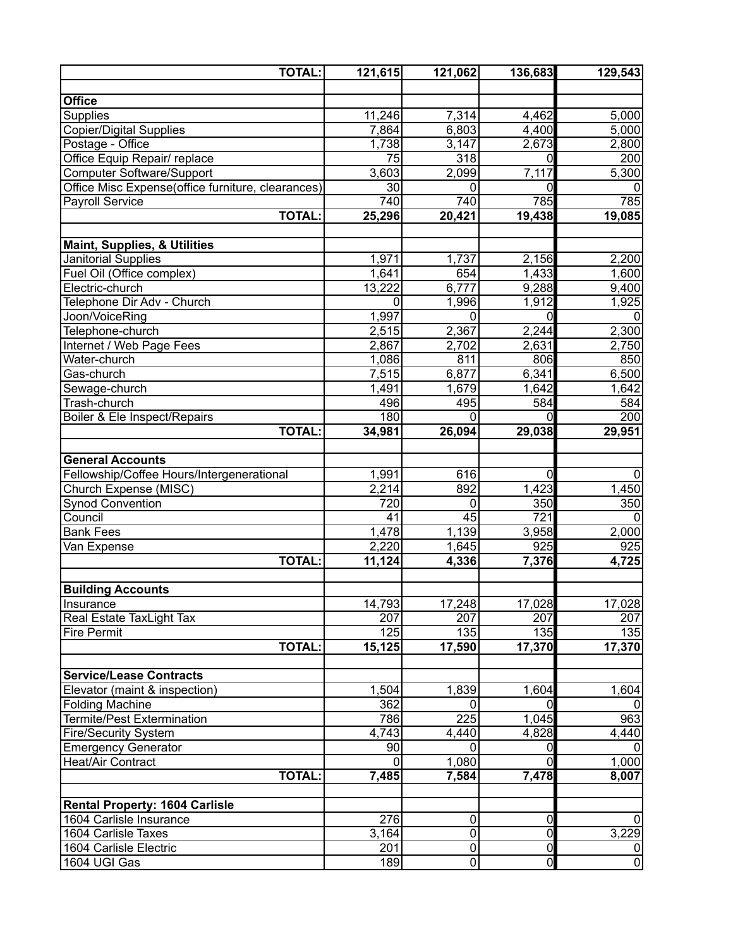| <b>TOTAL:</b>                                                  | 121,615             | 121,062          | 136,683             | 129,543             |
|----------------------------------------------------------------|---------------------|------------------|---------------------|---------------------|
|                                                                |                     |                  |                     |                     |
| <b>Office</b>                                                  |                     |                  |                     |                     |
| <b>Supplies</b>                                                | $\overline{11,246}$ | 7,314            | 4,462               | 5,000               |
| Copier/Digital Supplies                                        | 7,864               | 6,803            | 4,400               | $\overline{5,000}$  |
| Postage - Office                                               | 1,738               | 3,147            | 2,673               | 2,800               |
| Office Equip Repair/ replace                                   | $\overline{75}$     | 318              | $\mathbf 0$         | 200                 |
| Computer Software/Support                                      | 3,603               | 2,099            | 7,117               | 5,300               |
| Office Misc Expense(office furniture, clearances)              | $\overline{30}$     | $\Omega$         | 0                   | 0                   |
| <b>Payroll Service</b>                                         | 740                 | 740              | 785                 | 785                 |
| <b>TOTAL:</b>                                                  | 25,296              | 20,421           | 19,438              | 19,085              |
|                                                                |                     |                  |                     |                     |
| <b>Maint, Supplies, &amp; Utilities</b><br>Janitorial Supplies | 1,971               | 1,737            | 2,156               | 2,200               |
| Fuel Oil (Office complex)                                      | 1,641               | 654              | 1,433               | 1,600               |
| Electric-church                                                | 13,222              | 6,777            | 9,288               | 9,400               |
| Telephone Dir Adv - Church                                     | 0                   | 1,996            | 1,912               | 1,925               |
| Joon/VoiceRing                                                 | 1,997               | $\mathbf 0$      | 0                   | $\Omega$            |
| Telephone-church                                               | 2,515               | 2,367            | 2,244               | 2,300               |
| Internet / Web Page Fees                                       | 2,867               | 2,702            | 2,631               | 2,750               |
| Water-church                                                   | 1,086               | 811              | 806                 | 850                 |
| Gas-church                                                     | 7,515               | 6,877            | 6,341               | 6,500               |
| Sewage-church                                                  | 1,491               | 1,679            | 1,642               | 1,642               |
| Trash-church                                                   | 496                 | 495              | 584                 | 584                 |
| Boiler & Ele Inspect/Repairs                                   | 180                 | $\mathbf 0$      | 0                   | 200                 |
| <b>TOTAL:</b>                                                  | 34,981              | 26,094           | 29,038              | 29,951              |
|                                                                |                     |                  |                     |                     |
| <b>General Accounts</b>                                        |                     |                  |                     |                     |
| Fellowship/Coffee Hours/Intergenerational                      | 1,991               | 616              | $\mathbf 0$         | 0                   |
| Church Expense (MISC)                                          | 2,214               | 892              | 1,423               | 1,450               |
| <b>Synod Convention</b>                                        | 720                 | $\mathbf 0$      | 350                 | 350                 |
| Council                                                        | 41                  | 45               | 721                 | $\mathbf 0$         |
| <b>Bank Fees</b>                                               | 1,478               | 1,139            | 3,958               | 2,000               |
| Van Expense                                                    | 2,220               | 1,645            | 925                 | 925                 |
| <b>TOTAL:</b>                                                  | 11,124              | 4,336            | 7,376               | 4,725               |
| <b>Building Accounts</b>                                       |                     |                  |                     |                     |
| Insurance                                                      | 14,793              | 17,248           | 17,028              | 17,028              |
| Real Estate TaxLight Tax                                       | 207                 | 207              | 207                 | 207                 |
| <b>Fire Permit</b>                                             | 125                 | 135              | 135                 | 135                 |
| <b>TOTAL:</b>                                                  | 15, 125             | 17,590           | 17,370              | 17,370              |
|                                                                |                     |                  |                     |                     |
| <b>Service/Lease Contracts</b>                                 |                     |                  |                     |                     |
| Elevator (maint & inspection)                                  | 1,504               | 1,839            | 1,604               | 1,604               |
| <b>Folding Machine</b>                                         | 362                 | 0                | $\mathbf{0}$        |                     |
| <b>Termite/Pest Extermination</b>                              | 786                 | 225              | 1,045               | 963                 |
| <b>Fire/Security System</b>                                    | 4,743               | 4,440            | 4,828               | 4,440               |
| <b>Emergency Generator</b>                                     | 90                  | 0                | 0                   |                     |
| Heat/Air Contract                                              | 0                   | 1,080            | 0                   | 1,000               |
| <b>TOTAL:</b>                                                  | 7,485               | 7,584            | 7,478               | 8,007               |
|                                                                |                     |                  |                     |                     |
| <b>Rental Property: 1604 Carlisle</b>                          |                     |                  |                     |                     |
| 1604 Carlisle Insurance                                        | 276                 | 0<br>$\mathbf 0$ | 0<br>$\overline{0}$ | 0                   |
| 1604 Carlisle Taxes                                            | 3,164               | $\pmb{0}$        | $\overline{0}$      | 3,229               |
| 1604 Carlisle Electric                                         | 201<br>189          | $\overline{0}$   | $\overline{0}$      | 0<br>$\overline{0}$ |
| 1604 UGI Gas                                                   |                     |                  |                     |                     |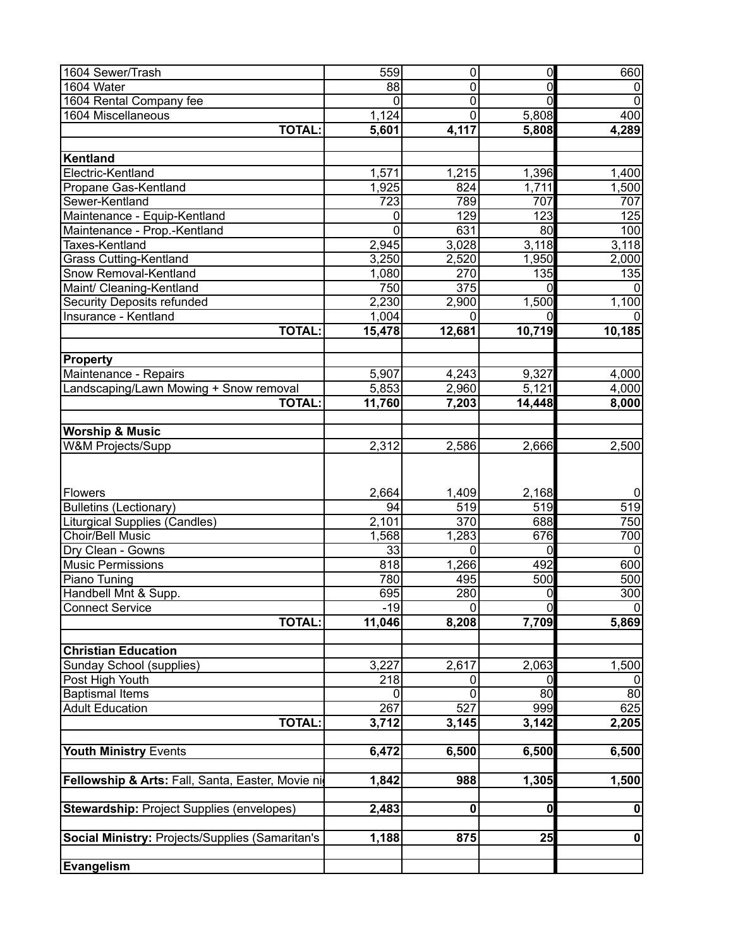| 1604 Sewer/Trash                                  | 559             | $\mathbf 0$      | $\overline{0}$ | 660              |
|---------------------------------------------------|-----------------|------------------|----------------|------------------|
| 1604 Water                                        | 88              | 0                | $\mathbf 0$    | 0                |
| 1604 Rental Company fee                           | 0               | $\overline{0}$   | $\overline{0}$ | $\mathbf 0$      |
| 1604 Miscellaneous                                | 1,124           | $\overline{0}$   | 5,808          | 400              |
| <b>TOTAL:</b>                                     | 5,601           | 4,117            | 5,808          | 4,289            |
|                                                   |                 |                  |                |                  |
| Kentland                                          |                 |                  |                |                  |
| Electric-Kentland                                 | 1,571           | 1,215            | 1,396          | 1,400            |
| Propane Gas-Kentland                              | 1,925           | 824              | 1,711          | 1,500            |
| Sewer-Kentland                                    | 723             | 789              | 707            | 707              |
| Maintenance - Equip-Kentland                      | 0               | 129              | 123            | 125              |
| Maintenance - Prop.-Kentland                      | 0               | 631              | 80             | 100              |
| Taxes-Kentland                                    | 2,945           | 3,028            | 3,118          | 3,118            |
| <b>Grass Cutting-Kentland</b>                     | 3,250           | 2,520            | 1,950          | 2,000            |
| Snow Removal-Kentland                             | 1,080           | 270              | 135            | $\overline{135}$ |
| Maint/ Cleaning-Kentland                          | 750             | $\overline{375}$ | $\overline{0}$ | $\mathbf{0}$     |
| <b>Security Deposits refunded</b>                 | 2,230           | 2,900            | 1,500          | 1,100            |
| Insurance - Kentland                              | 1,004           | $\Omega$         | $\Omega$       | $\Omega$         |
| <b>TOTAL:</b>                                     | 15,478          | 12,681           | 10,719         | 10,185           |
|                                                   |                 |                  |                |                  |
| <b>Property</b>                                   |                 |                  |                |                  |
| Maintenance - Repairs                             | 5,907           | 4,243            | 9,327          | 4,000            |
| Landscaping/Lawn Mowing + Snow removal            | 5,853           | 2,960            | 5,121          | 4,000            |
| <b>TOTAL:</b>                                     | 11,760          | 7,203            | 14,448         | 8,000            |
|                                                   |                 |                  |                |                  |
| <b>Worship &amp; Music</b>                        |                 |                  |                |                  |
| <b>W&amp;M Projects/Supp</b>                      | 2,312           | 2,586            | 2,666          | 2,500            |
|                                                   |                 |                  |                |                  |
| Flowers                                           | 2,664           | 1,409            | 2,168          | 0                |
| <b>Bulletins (Lectionary)</b>                     | 94              | 519              | 519            | 519              |
| Liturgical Supplies (Candles)                     | 2,101           | 370              | 688            | 750              |
| Choir/Bell Music                                  | 1,568           | 1,283            | 676            | 700              |
| Dry Clean - Gowns                                 | $\overline{33}$ | 0                | $\mathbf 0$    | $\mathbf 0$      |
| <b>Music Permissions</b>                          | 818             | 1,266            | 492            | 600              |
| Piano Tuning                                      | 780             | 495              | 500            | 500              |
| Handbell Mnt & Supp.                              | 695             | 280              | $\overline{0}$ | 300              |
| <b>Connect Service</b>                            | $-19$           | 0                | $\overline{0}$ | 0                |
| <b>TOTAL:</b>                                     | 11,046          | 8,208            | 7,709          | 5,869            |
|                                                   |                 |                  |                |                  |
| <b>Christian Education</b>                        |                 |                  |                |                  |
| Sunday School (supplies)                          | 3,227           | 2,617            | 2,063          | 1,500            |
| Post High Youth                                   | 218             | 0                | 0              |                  |
| <b>Baptismal Items</b>                            |                 | $\Omega$         | 80             | 80               |
| <b>Adult Education</b>                            | 267             | 527              | 999            | 625              |
| <b>TOTAL:</b>                                     | 3,712           | 3,145            | 3,142          | 2,205            |
|                                                   |                 |                  |                |                  |
| <b>Youth Ministry Events</b>                      | 6,472           | 6,500            | 6,500          | 6,500            |
|                                                   |                 |                  |                |                  |
| Fellowship & Arts: Fall, Santa, Easter, Movie nig | 1,842           | 988              | 1,305          | 1,500            |
|                                                   |                 |                  |                |                  |
| <b>Stewardship: Project Supplies (envelopes)</b>  | 2,483           | $\mathbf 0$      | $\mathbf 0$    | 0                |
|                                                   |                 |                  |                |                  |
| Social Ministry: Projects/Supplies (Samaritan's   | 1,188           | 875              | 25             | $\pmb{0}$        |
|                                                   |                 |                  |                |                  |
| Evangelism                                        |                 |                  |                |                  |